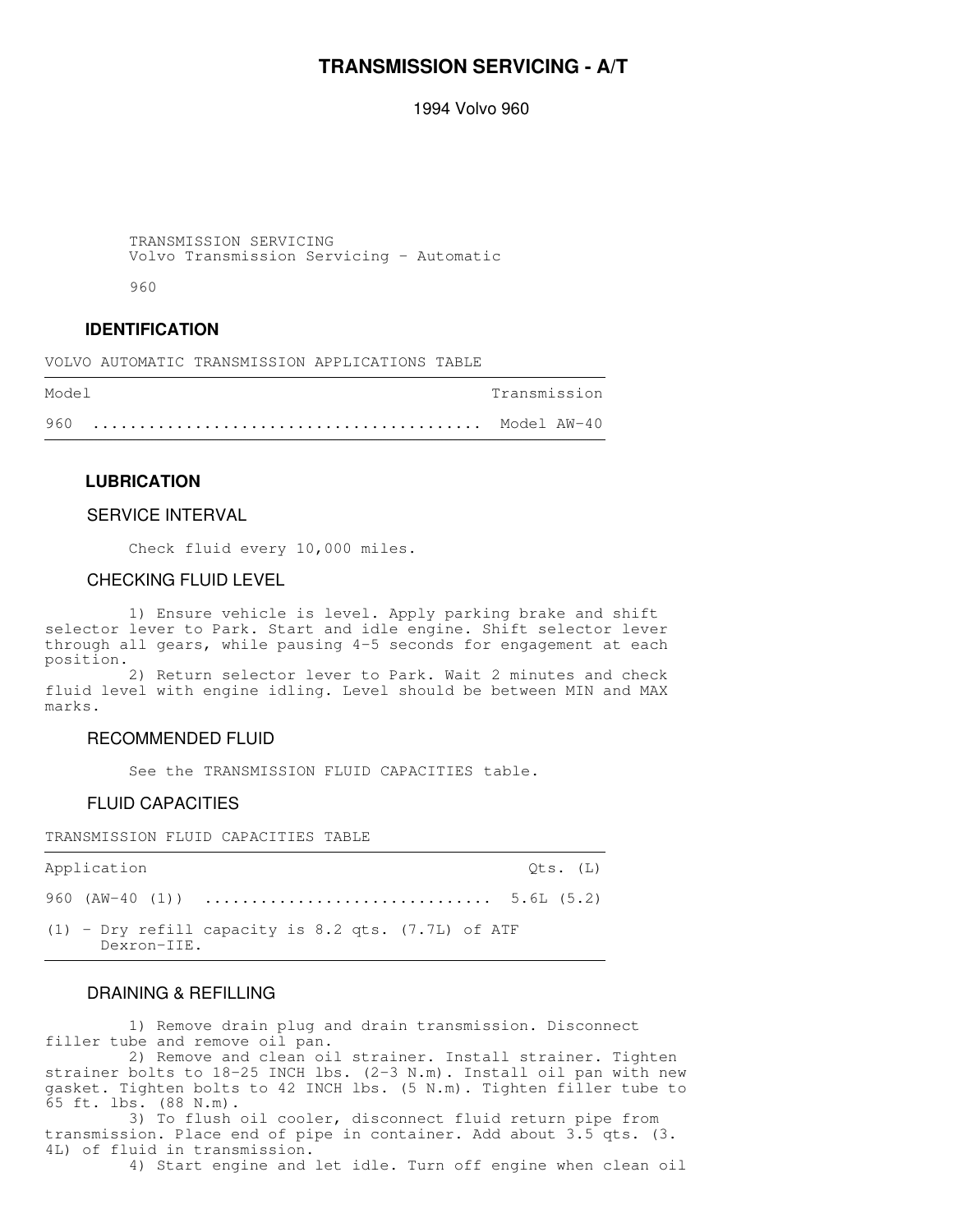## **TRANSMISSION SERVICING - A/T**

1994 Volvo 960

 TRANSMISSION SERVICING Volvo Transmission Servicing - Automatic

960

## **IDENTIFICATION**

VOLVO AUTOMATIC TRANSMISSION APPLICATIONS TABLE

| Model | Transmission |
|-------|--------------|
| 960   |              |

### **LUBRICATION**

### SERVICE INTERVAL

Check fluid every 10,000 miles.

### CHECKING FLUID LEVEL

 1) Ensure vehicle is level. Apply parking brake and shift selector lever to Park. Start and idle engine. Shift selector lever through all gears, while pausing 4-5 seconds for engagement at each position.

 2) Return selector lever to Park. Wait 2 minutes and check fluid level with engine idling. Level should be between MIN and MAX marks.

,我们就会不会不会。""我们,我们不会不会不会,我们不会不会不会,我们不会不会不会不会。""我们,我们不会不会不会不会。""我们,我们不会不会不会不会。""我们

#### RECOMMENDED FLUID

See the TRANSMISSION FLUID CAPACITIES table.

### FLUID CAPACITIES

TRANSMISSION FLUID CAPACITIES TABLE

| Application |             |                                                         |  |  |  | Ots. (L) |
|-------------|-------------|---------------------------------------------------------|--|--|--|----------|
|             |             |                                                         |  |  |  |          |
|             | Dexron-IIE. | $(1)$ - Dry refill capacity is 8.2 qts. $(7.7L)$ of ATF |  |  |  |          |

## DRAINING & REFILLING

 1) Remove drain plug and drain transmission. Disconnect filler tube and remove oil pan.

 2) Remove and clean oil strainer. Install strainer. Tighten strainer bolts to 18-25 INCH lbs. (2-3 N.m). Install oil pan with new gasket. Tighten bolts to 42 INCH lbs. (5 N.m). Tighten filler tube to 65 ft. lbs. (88 N.m).

 3) To flush oil cooler, disconnect fluid return pipe from transmission. Place end of pipe in container. Add about 3.5 qts. (3. 4L) of fluid in transmission.

4) Start engine and let idle. Turn off engine when clean oil